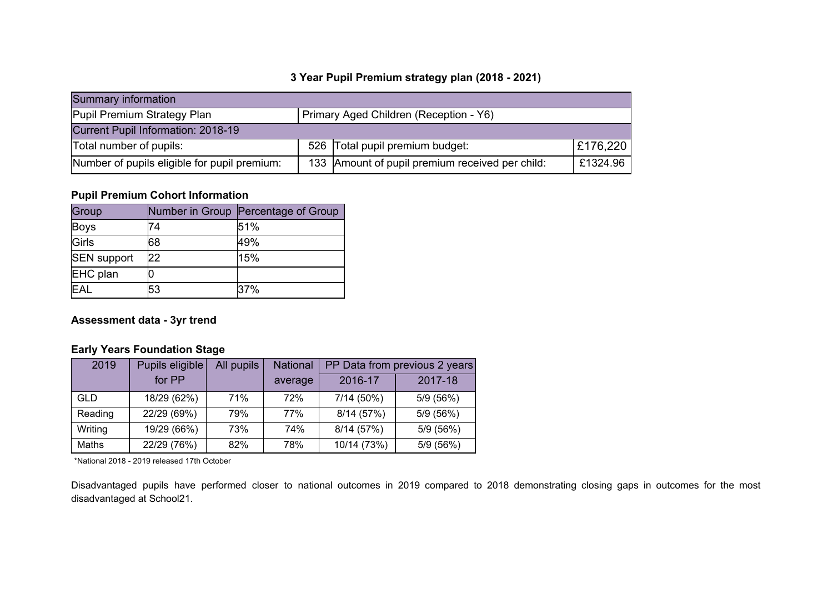#### **3 Year Pupil Premium strategy plan (2018 - 2021)**

| Summary information                                                   |  |                                                   |          |  |  |
|-----------------------------------------------------------------------|--|---------------------------------------------------|----------|--|--|
| Pupil Premium Strategy Plan<br>Primary Aged Children (Reception - Y6) |  |                                                   |          |  |  |
| Current Pupil Information: 2018-19                                    |  |                                                   |          |  |  |
| Total number of pupils:                                               |  | 526 Total pupil premium budget:                   | £176,220 |  |  |
| Number of pupils eligible for pupil premium:                          |  | 133   Amount of pupil premium received per child: | £1324.96 |  |  |

## **Pupil Premium Cohort Information**

| Group              |    | Number in Group Percentage of Group |
|--------------------|----|-------------------------------------|
| <b>Boys</b>        | 74 | 51%                                 |
| Girls              | 68 | 49%                                 |
| <b>SEN support</b> | 22 | 15%                                 |
| EHC plan           |    |                                     |
| <b>EAL</b>         | 53 | 37%                                 |

#### **Assessment data - 3yr trend**

## **Early Years Foundation Stage**

| 2019       | Pupils eligible | All pupils | <b>National</b> | PP Data from previous 2 years |           |
|------------|-----------------|------------|-----------------|-------------------------------|-----------|
|            | for PP          |            | average         | 2016-17                       | 2017-18   |
| <b>GLD</b> | 18/29 (62%)     | 71%        | 72%             | $7/14(50\%)$                  | 5/9 (56%) |
| Reading    | 22/29 (69%)     | 79%        | 77%             | 8/14 (57%)                    | 5/9 (56%) |
| Writing    | 19/29 (66%)     | 73%        | 74%             | 8/14 (57%)                    | 5/9 (56%) |
| Maths      | 22/29 (76%)     | 82%        | 78%             | 10/14 (73%)                   | 5/9 (56%) |

\*National 2018 - 2019 released 17th October

Disadvantaged pupils have performed closer to national outcomes in 2019 compared to 2018 demonstrating closing gaps in outcomes for the most disadvantaged at School21.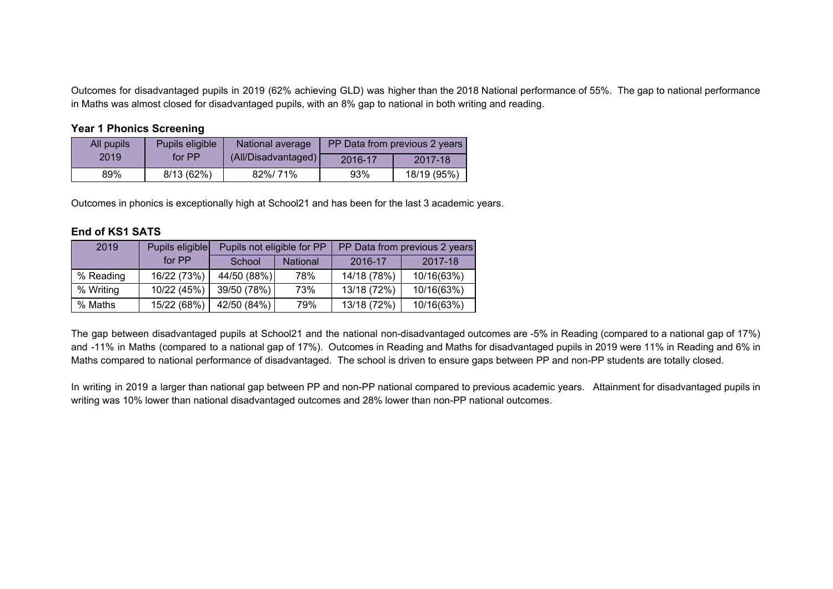Outcomes for disadvantaged pupils in 2019 (62% achieving GLD) was higher than the 2018 National performance of 55%. The gap to national performance in Maths was almost closed for disadvantaged pupils, with an 8% gap to national in both writing and reading.

#### **Year 1 Phonics Screening**

| All pupils | Pupils eligible | National average    |         | PP Data from previous 2 years |
|------------|-----------------|---------------------|---------|-------------------------------|
| 2019       | for PP          | (All/Disadvantaged) | 2016-17 | 2017-18                       |
| 89%        | 8/13(62%)       | 82%/ 71%            | 93%     | 18/19 (95%)                   |

Outcomes in phonics is exceptionally high at School21 and has been for the last 3 academic years.

#### **End of KS1 SATS**

| 2019      | Pupils eligible |             | Pupils not eligible for PP |             | PP Data from previous 2 years |
|-----------|-----------------|-------------|----------------------------|-------------|-------------------------------|
|           | for PP          | School      | <b>National</b>            | 2016-17     | 2017-18                       |
| % Reading | 16/22 (73%)     | 44/50 (88%) | 78%                        | 14/18 (78%) | 10/16(63%)                    |
| % Writing | 10/22 (45%)     | 39/50 (78%) | 73%                        | 13/18 (72%) | 10/16(63%)                    |
| % Maths   | 15/22 (68%)     | 42/50 (84%) | 79%                        | 13/18 (72%) | 10/16(63%)                    |

The gap between disadvantaged pupils at School21 and the national non-disadvantaged outcomes are -5% in Reading (compared to a national gap of 17%) and -11% in Maths (compared to a national gap of 17%). Outcomes in Reading and Maths for disadvantaged pupils in 2019 were 11% in Reading and 6% in Maths compared to national performance of disadvantaged. The school is driven to ensure gaps between PP and non-PP students are totally closed.

In writing in 2019 a larger than national gap between PP and non-PP national compared to previous academic years. Attainment for disadvantaged pupils in writing was 10% lower than national disadvantaged outcomes and 28% lower than non-PP national outcomes.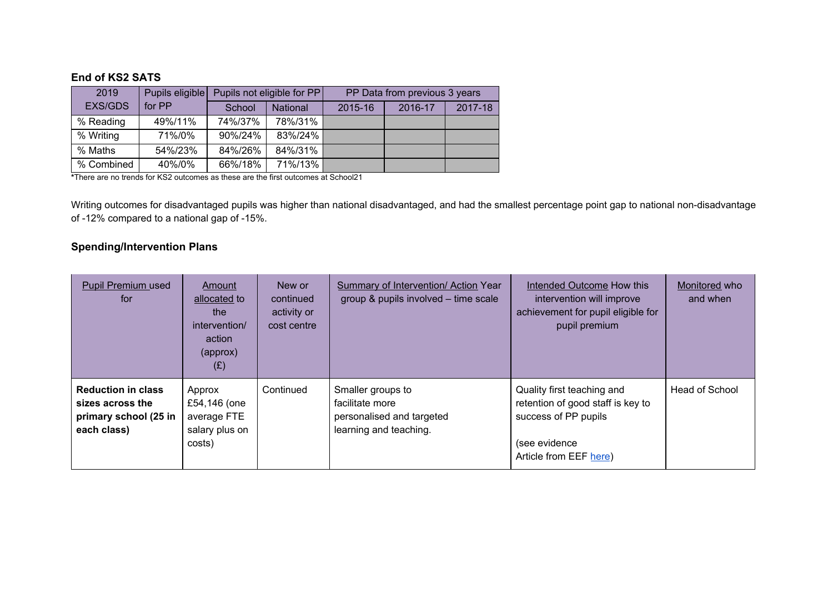#### **End of KS2 SATS**

| 2019           | Pupils eligible |         | Pupils not eligible for PP | PP Data from previous 3 years |         |         |
|----------------|-----------------|---------|----------------------------|-------------------------------|---------|---------|
| <b>EXS/GDS</b> | for PP          | School  | <b>National</b>            | 2015-16                       | 2016-17 | 2017-18 |
| % Reading      | 49%/11%         | 74%/37% | 78%/31%                    |                               |         |         |
| % Writing      | 71%/0%          | 90%/24% | 83%/24%                    |                               |         |         |
| % Maths        | 54%/23%         | 84%/26% | 84%/31%                    |                               |         |         |
| % Combined     | 40%/0%          | 66%/18% | 71%/13%                    |                               |         |         |

**\***There are no trends for KS2 outcomes as these are the first outcomes at School21

Writing outcomes for disadvantaged pupils was higher than national disadvantaged, and had the smallest percentage point gap to national non-disadvantage of -12% compared to a national gap of -15%.

## **Spending/Intervention Plans**

| <b>Pupil Premium used</b><br>for                                                      | <b>Amount</b><br>allocated to<br>the<br>intervention/<br>action<br>(approx)<br>(E) | New or<br>continued<br>activity or<br>cost centre | <b>Summary of Intervention/ Action Year</b><br>group & pupils involved - time scale         | <b>Intended Outcome How this</b><br>intervention will improve<br>achievement for pupil eligible for<br>pupil premium               | Monitored who<br>and when |
|---------------------------------------------------------------------------------------|------------------------------------------------------------------------------------|---------------------------------------------------|---------------------------------------------------------------------------------------------|------------------------------------------------------------------------------------------------------------------------------------|---------------------------|
| <b>Reduction in class</b><br>sizes across the<br>primary school (25 in<br>each class) | Approx<br>£54,146 (one<br>average FTE<br>salary plus on<br>costs)                  | Continued                                         | Smaller groups to<br>facilitate more<br>personalised and targeted<br>learning and teaching. | Quality first teaching and<br>retention of good staff is key to<br>success of PP pupils<br>(see evidence<br>Article from EEF here) | Head of School            |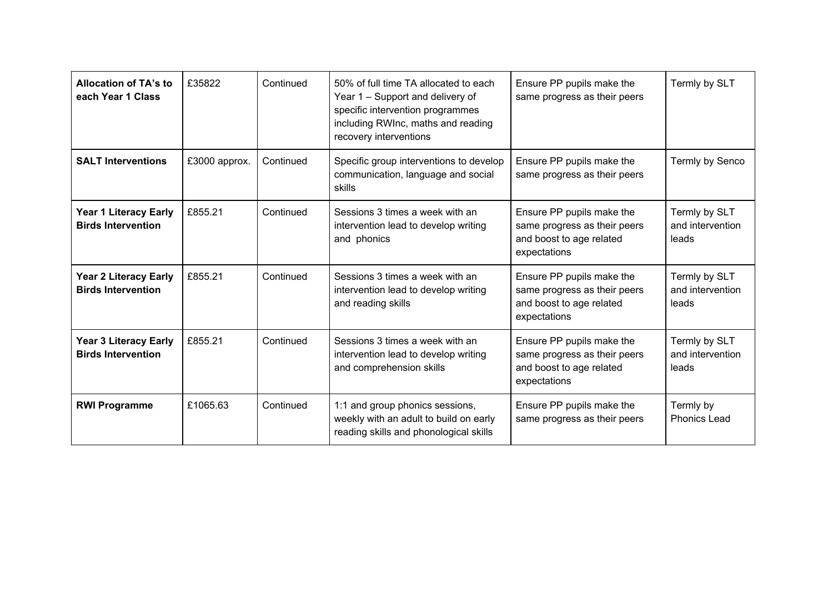| <b>Allocation of TA's to</b><br>each Year 1 Class         | £35822        | Continued | 50% of full time TA allocated to each<br>Year 1 – Support and delivery of<br>specific intervention programmes<br>including RWInc, maths and reading<br>recovery interventions | Ensure PP pupils make the<br>same progress as their peers                                             | Termly by SLT                              |
|-----------------------------------------------------------|---------------|-----------|-------------------------------------------------------------------------------------------------------------------------------------------------------------------------------|-------------------------------------------------------------------------------------------------------|--------------------------------------------|
| <b>SALT Interventions</b>                                 | £3000 approx. | Continued | Specific group interventions to develop<br>communication, language and social<br>skills                                                                                       | Ensure PP pupils make the<br>same progress as their peers                                             | Termly by Senco                            |
| <b>Year 1 Literacy Early</b><br><b>Birds Intervention</b> | £855.21       | Continued | Sessions 3 times a week with an<br>intervention lead to develop writing<br>and phonics                                                                                        | Ensure PP pupils make the<br>same progress as their peers<br>and boost to age related<br>expectations | Termly by SLT<br>and intervention<br>leads |
| <b>Year 2 Literacy Early</b><br><b>Birds Intervention</b> | £855.21       | Continued | Sessions 3 times a week with an<br>intervention lead to develop writing<br>and reading skills                                                                                 | Ensure PP pupils make the<br>same progress as their peers<br>and boost to age related<br>expectations | Termly by SLT<br>and intervention<br>leads |
| <b>Year 3 Literacy Early</b><br><b>Birds Intervention</b> | £855.21       | Continued | Sessions 3 times a week with an<br>intervention lead to develop writing<br>and comprehension skills                                                                           | Ensure PP pupils make the<br>same progress as their peers<br>and boost to age related<br>expectations | Termly by SLT<br>and intervention<br>leads |
| <b>RWI Programme</b>                                      | £1065.63      | Continued | 1:1 and group phonics sessions,<br>weekly with an adult to build on early<br>reading skills and phonological skills                                                           | Ensure PP pupils make the<br>same progress as their peers                                             | Termly by<br><b>Phonics Lead</b>           |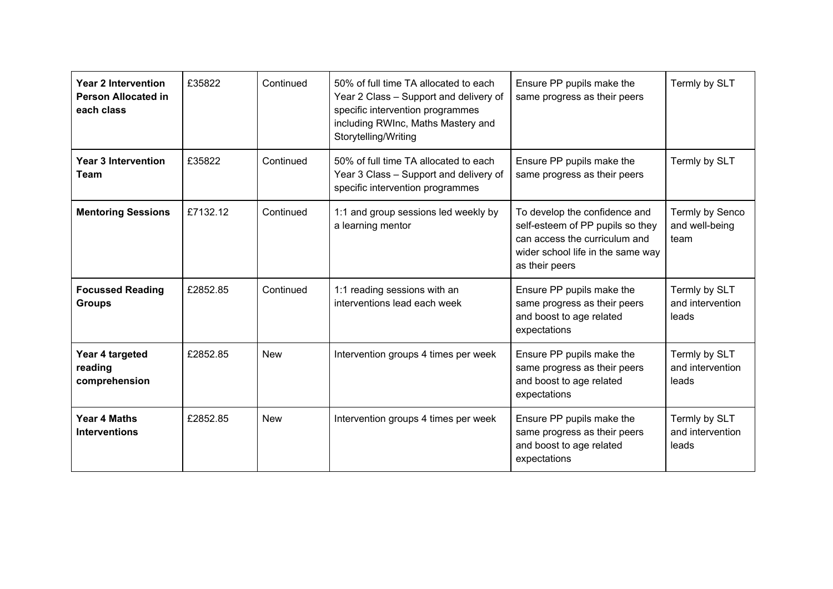| <b>Year 2 Intervention</b><br><b>Person Allocated in</b><br>each class | £35822   | Continued  | 50% of full time TA allocated to each<br>Year 2 Class - Support and delivery of<br>specific intervention programmes<br>including RWInc, Maths Mastery and<br>Storytelling/Writing | Ensure PP pupils make the<br>same progress as their peers                                                                                                 | Termly by SLT                              |
|------------------------------------------------------------------------|----------|------------|-----------------------------------------------------------------------------------------------------------------------------------------------------------------------------------|-----------------------------------------------------------------------------------------------------------------------------------------------------------|--------------------------------------------|
| <b>Year 3 Intervention</b><br><b>Team</b>                              | £35822   | Continued  | 50% of full time TA allocated to each<br>Year 3 Class - Support and delivery of<br>specific intervention programmes                                                               | Ensure PP pupils make the<br>same progress as their peers                                                                                                 | Termly by SLT                              |
| <b>Mentoring Sessions</b>                                              | £7132.12 | Continued  | 1:1 and group sessions led weekly by<br>a learning mentor                                                                                                                         | To develop the confidence and<br>self-esteem of PP pupils so they<br>can access the curriculum and<br>wider school life in the same way<br>as their peers | Termly by Senco<br>and well-being<br>team  |
| <b>Focussed Reading</b><br><b>Groups</b>                               | £2852.85 | Continued  | 1:1 reading sessions with an<br>interventions lead each week                                                                                                                      | Ensure PP pupils make the<br>same progress as their peers<br>and boost to age related<br>expectations                                                     | Termly by SLT<br>and intervention<br>leads |
| Year 4 targeted<br>reading<br>comprehension                            | £2852.85 | <b>New</b> | Intervention groups 4 times per week                                                                                                                                              | Ensure PP pupils make the<br>same progress as their peers<br>and boost to age related<br>expectations                                                     | Termly by SLT<br>and intervention<br>leads |
| <b>Year 4 Maths</b><br><b>Interventions</b>                            | £2852.85 | <b>New</b> | Intervention groups 4 times per week                                                                                                                                              | Ensure PP pupils make the<br>same progress as their peers<br>and boost to age related<br>expectations                                                     | Termly by SLT<br>and intervention<br>leads |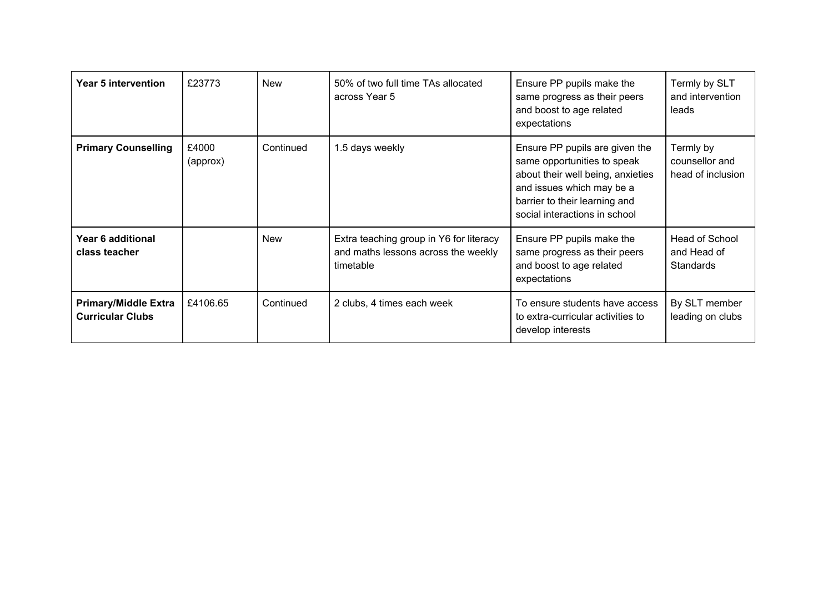| Year 5 intervention                                    | £23773            | <b>New</b> | 50% of two full time TAs allocated<br>across Year 5                                         | Ensure PP pupils make the<br>same progress as their peers<br>and boost to age related<br>expectations                                                                                             | Termly by SLT<br>and intervention<br>leads       |
|--------------------------------------------------------|-------------------|------------|---------------------------------------------------------------------------------------------|---------------------------------------------------------------------------------------------------------------------------------------------------------------------------------------------------|--------------------------------------------------|
| <b>Primary Counselling</b>                             | £4000<br>(approx) | Continued  | 1.5 days weekly                                                                             | Ensure PP pupils are given the<br>same opportunities to speak<br>about their well being, anxieties<br>and issues which may be a<br>barrier to their learning and<br>social interactions in school | Termly by<br>counsellor and<br>head of inclusion |
| Year 6 additional<br>class teacher                     |                   | New        | Extra teaching group in Y6 for literacy<br>and maths lessons across the weekly<br>timetable | Ensure PP pupils make the<br>same progress as their peers<br>and boost to age related<br>expectations                                                                                             | Head of School<br>and Head of<br>Standards       |
| <b>Primary/Middle Extra</b><br><b>Curricular Clubs</b> | £4106.65          | Continued  | 2 clubs, 4 times each week                                                                  | To ensure students have access<br>to extra-curricular activities to<br>develop interests                                                                                                          | By SLT member<br>leading on clubs                |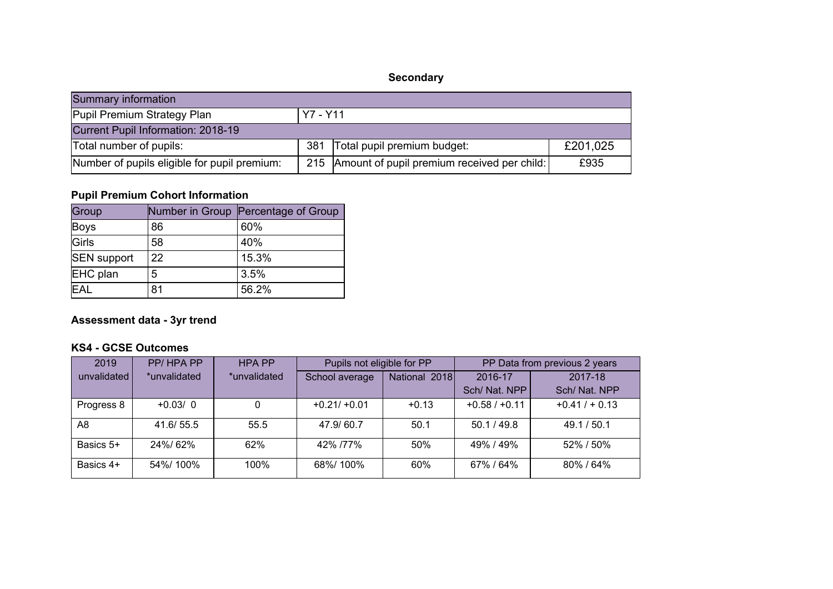# **Secondary**

| Summary information                          |     |                                                   |          |  |  |
|----------------------------------------------|-----|---------------------------------------------------|----------|--|--|
| Pupil Premium Strategy Plan<br>Y7 - Y11      |     |                                                   |          |  |  |
| Current Pupil Information: 2018-19           |     |                                                   |          |  |  |
| Total number of pupils:                      | 381 | Total pupil premium budget:                       | £201,025 |  |  |
| Number of pupils eligible for pupil premium: |     | 215   Amount of pupil premium received per child: | £935     |  |  |

# **Pupil Premium Cohort Information**

| Group              |    | Number in Group Percentage of Group |
|--------------------|----|-------------------------------------|
| <b>Boys</b>        | 86 | 60%                                 |
| Girls              | 58 | 40%                                 |
| <b>SEN</b> support | 22 | 15.3%                               |
| EHC plan           | 5  | 3.5%                                |
| <b>EAL</b>         | 81 | 56.2%                               |

# **Assessment data - 3yr trend**

## **KS4 - GCSE Outcomes**

| 2019        | PP/HPAPP     | <b>HPA PP</b> | Pupils not eligible for PP |               | PP Data from previous 2 years |                 |
|-------------|--------------|---------------|----------------------------|---------------|-------------------------------|-----------------|
| unvalidated | *unvalidated | *unvalidated  | School average             | National 2018 | 2016-17                       | 2017-18         |
|             |              |               |                            |               | Sch/ Nat. NPP                 | Sch/ Nat. NPP   |
| Progress 8  | $+0.03/0$    | 0             | $+0.21/ +0.01$             | $+0.13$       | $+0.58 / +0.11$               | $+0.41/ + 0.13$ |
| A8          | 41.6/55.5    | 55.5          | 47.9/60.7                  | 50.1          | 50.1 / 49.8                   | 49.1 / 50.1     |
| Basics 5+   | 24%/62%      | 62%           | 42% /77%                   | 50%           | 49% / 49%                     | 52% / 50%       |
| Basics 4+   | 54%/100%     | 100%          | 68%/100%                   | 60%           | 67%/64%                       | 80%/64%         |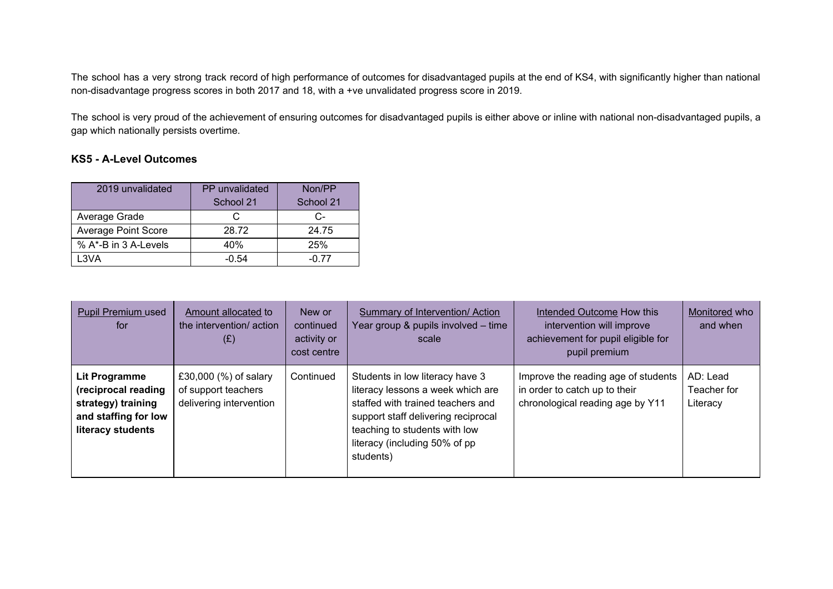The school has a very strong track record of high performance of outcomes for disadvantaged pupils at the end of KS4, with significantly higher than national non-disadvantage progress scores in both 2017 and 18, with a +ve unvalidated progress score in 2019.

The school is very proud of the achievement of ensuring outcomes for disadvantaged pupils is either above or inline with national non-disadvantaged pupils, a gap which nationally persists overtime.

#### **KS5 - A-Level Outcomes**

| 2019 unvalidated           | PP unvalidated | Non/PP    |  |
|----------------------------|----------------|-----------|--|
|                            | School 21      | School 21 |  |
| Average Grade              | C.             | C-        |  |
| <b>Average Point Score</b> | 28.72          | 24.75     |  |
| % A*-B in 3 A-Levels       | 40%            | 25%       |  |
| L3VA                       | -0.54          | -0.77     |  |

| Pupil Premium used<br>for                                                                               | Amount allocated to<br>the intervention/action<br>(E)                   | New or<br>continued<br>activity or<br>cost centre | Summary of Intervention/ Action<br>Year group & pupils involved - time<br>scale                                                                                                                                                 | Intended Outcome How this<br>intervention will improve<br>achievement for pupil eligible for<br>pupil premium | Monitored who<br>and when           |
|---------------------------------------------------------------------------------------------------------|-------------------------------------------------------------------------|---------------------------------------------------|---------------------------------------------------------------------------------------------------------------------------------------------------------------------------------------------------------------------------------|---------------------------------------------------------------------------------------------------------------|-------------------------------------|
| Lit Programme<br>(reciprocal reading<br>strategy) training<br>and staffing for low<br>literacy students | £30,000 (%) of salary<br>of support teachers<br>delivering intervention | Continued                                         | Students in low literacy have 3<br>literacy lessons a week which are<br>staffed with trained teachers and<br>support staff delivering reciprocal<br>teaching to students with low<br>literacy (including 50% of pp<br>students) | Improve the reading age of students<br>in order to catch up to their<br>chronological reading age by Y11      | AD: Lead<br>Teacher for<br>Literacy |